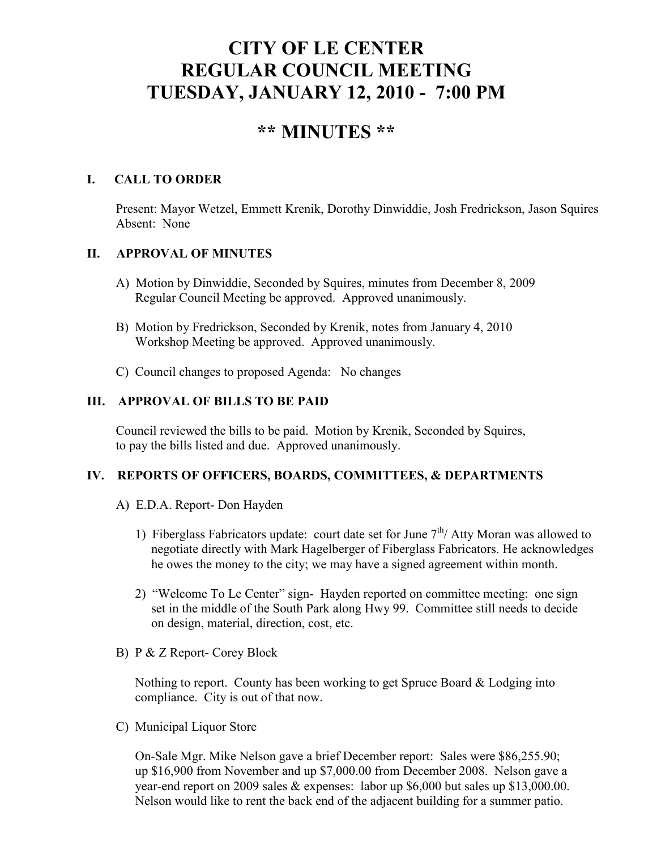# **CITY OF LE CENTER REGULAR COUNCIL MEETING TUESDAY, JANUARY 12, 2010 - 7:00 PM**

# **\*\* MINUTES \*\***

### **I. CALL TO ORDER**

Present: Mayor Wetzel, Emmett Krenik, Dorothy Dinwiddie, Josh Fredrickson, Jason Squires Absent: None

#### **II. APPROVAL OF MINUTES**

- A) Motion by Dinwiddie, Seconded by Squires, minutes from December 8, 2009 Regular Council Meeting be approved. Approved unanimously.
- B) Motion by Fredrickson, Seconded by Krenik, notes from January 4, 2010 Workshop Meeting be approved. Approved unanimously.
- C) Council changes to proposed Agenda: No changes

#### **III. APPROVAL OF BILLS TO BE PAID**

Council reviewed the bills to be paid. Motion by Krenik, Seconded by Squires, to pay the bills listed and due. Approved unanimously.

#### **IV. REPORTS OF OFFICERS, BOARDS, COMMITTEES, & DEPARTMENTS**

- A) E.D.A. Report- Don Hayden
	- 1) Fiberglass Fabricators update: court date set for June  $7<sup>th</sup>/$  Atty Moran was allowed to negotiate directly with Mark Hagelberger of Fiberglass Fabricators. He acknowledges he owes the money to the city; we may have a signed agreement within month.
	- 2) "Welcome To Le Center" sign- Hayden reported on committee meeting: one sign set in the middle of the South Park along Hwy 99. Committee still needs to decide on design, material, direction, cost, etc.
- B) P & Z Report- Corey Block

 Nothing to report. County has been working to get Spruce Board & Lodging into compliance. City is out of that now.

C) Municipal Liquor Store

On-Sale Mgr. Mike Nelson gave a brief December report: Sales were \$86,255.90; up \$16,900 from November and up \$7,000.00 from December 2008. Nelson gave a year-end report on 2009 sales & expenses: labor up \$6,000 but sales up \$13,000.00. Nelson would like to rent the back end of the adjacent building for a summer patio.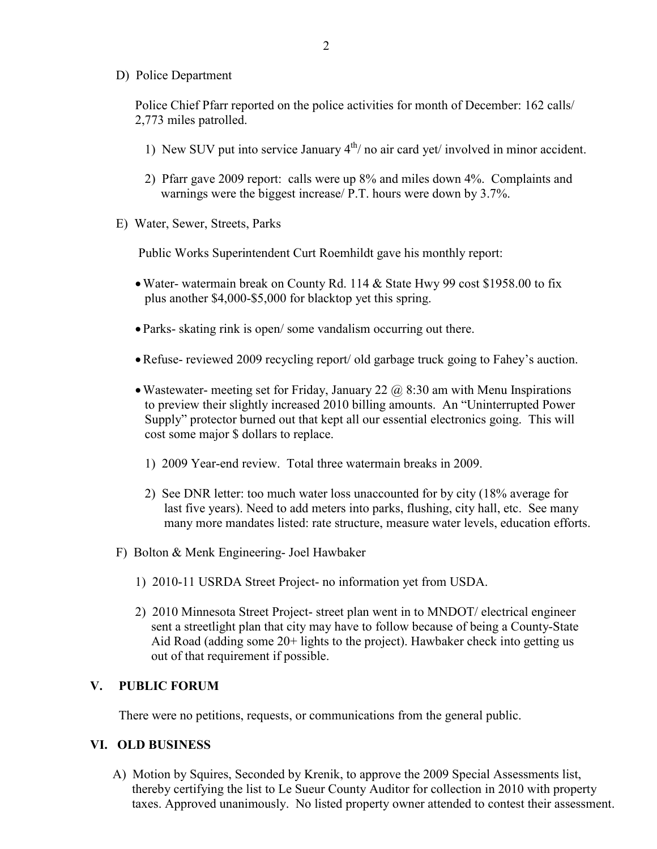D) Police Department

Police Chief Pfarr reported on the police activities for month of December: 162 calls/ 2,773 miles patrolled.

- 1) New SUV put into service January  $4<sup>th</sup>$  no air card yet/ involved in minor accident.
- 2) Pfarr gave 2009 report: calls were up 8% and miles down 4%. Complaints and warnings were the biggest increase/ P.T. hours were down by 3.7%.
- E) Water, Sewer, Streets, Parks

Public Works Superintendent Curt Roemhildt gave his monthly report:

- Water- watermain break on County Rd. 114 & State Hwy 99 cost \$1958.00 to fix plus another \$4,000-\$5,000 for blacktop yet this spring.
- Parks- skating rink is open/ some vandalism occurring out there.
- •Refuse- reviewed 2009 recycling report/ old garbage truck going to Fahey's auction.
- Wastewater- meeting set for Friday, January 22  $\omega$  8:30 am with Menu Inspirations to preview their slightly increased 2010 billing amounts. An "Uninterrupted Power Supply" protector burned out that kept all our essential electronics going. This will cost some major \$ dollars to replace.
	- 1) 2009 Year-end review. Total three watermain breaks in 2009.
	- 2) See DNR letter: too much water loss unaccounted for by city (18% average for last five years). Need to add meters into parks, flushing, city hall, etc. See many many more mandates listed: rate structure, measure water levels, education efforts.
- F) Bolton & Menk Engineering- Joel Hawbaker
	- 1) 2010-11 USRDA Street Project- no information yet from USDA.
	- 2) 2010 Minnesota Street Project- street plan went in to MNDOT/ electrical engineer sent a streetlight plan that city may have to follow because of being a County-State Aid Road (adding some 20+ lights to the project). Hawbaker check into getting us out of that requirement if possible.

#### **V. PUBLIC FORUM**

There were no petitions, requests, or communications from the general public.

#### **VI. OLD BUSINESS**

A) Motion by Squires, Seconded by Krenik, to approve the 2009 Special Assessments list, thereby certifying the list to Le Sueur County Auditor for collection in 2010 with property taxes. Approved unanimously. No listed property owner attended to contest their assessment.